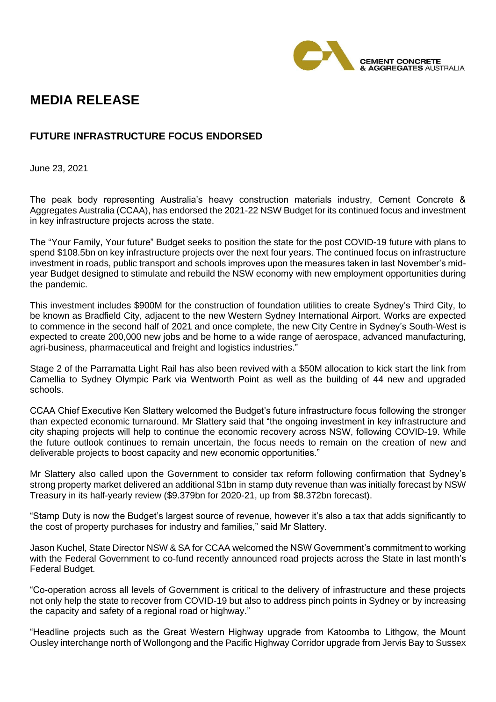

## **MEDIA RELEASE**

## **FUTURE INFRASTRUCTURE FOCUS ENDORSED**

June 23, 2021

The peak body representing Australia's heavy construction materials industry, Cement Concrete & Aggregates Australia (CCAA), has endorsed the 2021-22 NSW Budget for its continued focus and investment in key infrastructure projects across the state.

The "Your Family, Your future" Budget seeks to position the state for the post COVID-19 future with plans to spend \$108.5bn on key infrastructure projects over the next four years. The continued focus on infrastructure investment in roads, public transport and schools improves upon the measures taken in last November's midyear Budget designed to stimulate and rebuild the NSW economy with new employment opportunities during the pandemic.

This investment includes \$900M for the construction of foundation utilities to create Sydney's Third City, to be known as Bradfield City, adjacent to the new Western Sydney International Airport. Works are expected to commence in the second half of 2021 and once complete, the new City Centre in Sydney's South-West is expected to create 200,000 new jobs and be home to a wide range of aerospace, advanced manufacturing, agri-business, pharmaceutical and freight and logistics industries."

Stage 2 of the Parramatta Light Rail has also been revived with a \$50M allocation to kick start the link from Camellia to Sydney Olympic Park via Wentworth Point as well as the building of 44 new and upgraded schools.

CCAA Chief Executive Ken Slattery welcomed the Budget's future infrastructure focus following the stronger than expected economic turnaround. Mr Slattery said that "the ongoing investment in key infrastructure and city shaping projects will help to continue the economic recovery across NSW, following COVID-19. While the future outlook continues to remain uncertain, the focus needs to remain on the creation of new and deliverable projects to boost capacity and new economic opportunities."

Mr Slattery also called upon the Government to consider tax reform following confirmation that Sydney's strong property market delivered an additional \$1bn in stamp duty revenue than was initially forecast by NSW Treasury in its half-yearly review (\$9.379bn for 2020-21, up from \$8.372bn forecast).

"Stamp Duty is now the Budget's largest source of revenue, however it's also a tax that adds significantly to the cost of property purchases for industry and families," said Mr Slattery.

Jason Kuchel, State Director NSW & SA for CCAA welcomed the NSW Government's commitment to working with the Federal Government to co-fund recently announced road projects across the State in last month's Federal Budget.

"Co-operation across all levels of Government is critical to the delivery of infrastructure and these projects not only help the state to recover from COVID-19 but also to address pinch points in Sydney or by increasing the capacity and safety of a regional road or highway."

"Headline projects such as the Great Western Highway upgrade from Katoomba to Lithgow, the Mount Ousley interchange north of Wollongong and the Pacific Highway Corridor upgrade from Jervis Bay to Sussex